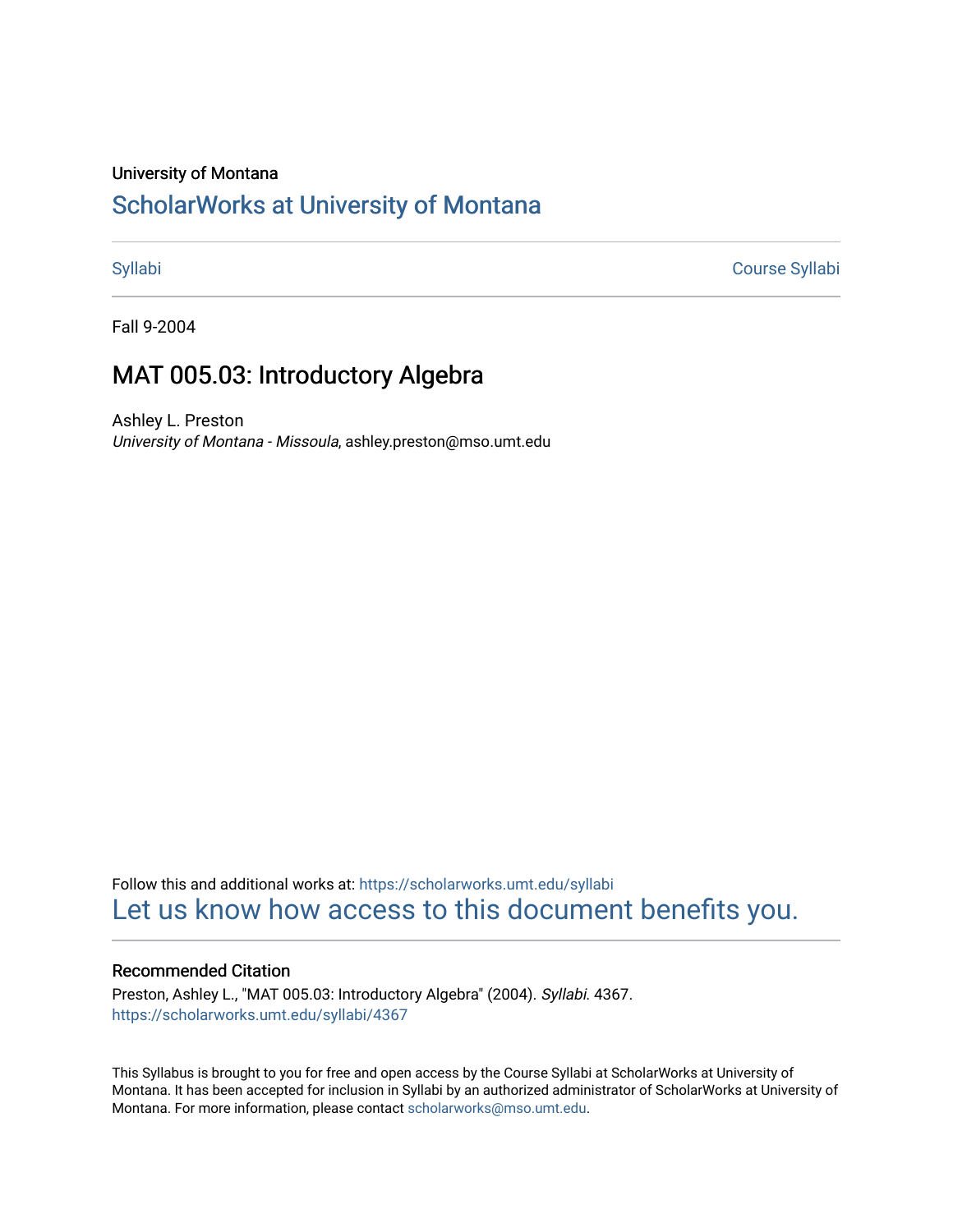#### University of Montana

# [ScholarWorks at University of Montana](https://scholarworks.umt.edu/)

[Syllabi](https://scholarworks.umt.edu/syllabi) [Course Syllabi](https://scholarworks.umt.edu/course_syllabi) 

Fall 9-2004

## MAT 005.03: Introductory Algebra

Ashley L. Preston University of Montana - Missoula, ashley.preston@mso.umt.edu

Follow this and additional works at: [https://scholarworks.umt.edu/syllabi](https://scholarworks.umt.edu/syllabi?utm_source=scholarworks.umt.edu%2Fsyllabi%2F4367&utm_medium=PDF&utm_campaign=PDFCoverPages)  [Let us know how access to this document benefits you.](https://goo.gl/forms/s2rGfXOLzz71qgsB2) 

### Recommended Citation

Preston, Ashley L., "MAT 005.03: Introductory Algebra" (2004). Syllabi. 4367. [https://scholarworks.umt.edu/syllabi/4367](https://scholarworks.umt.edu/syllabi/4367?utm_source=scholarworks.umt.edu%2Fsyllabi%2F4367&utm_medium=PDF&utm_campaign=PDFCoverPages)

This Syllabus is brought to you for free and open access by the Course Syllabi at ScholarWorks at University of Montana. It has been accepted for inclusion in Syllabi by an authorized administrator of ScholarWorks at University of Montana. For more information, please contact [scholarworks@mso.umt.edu.](mailto:scholarworks@mso.umt.edu)